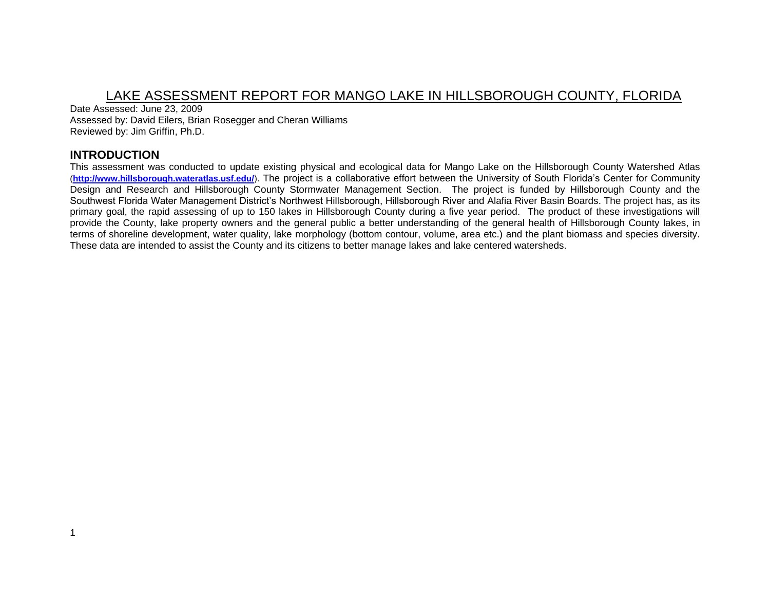# LAKE ASSESSMENT REPORT FOR MANGO LAKE IN HILLSBOROUGH COUNTY, FLORIDA

Date Assessed: June 23, 2009 Assessed by: David Eilers, Brian Rosegger and Cheran Williams Reviewed by: Jim Griffin, Ph.D.

# **INTRODUCTION**

This assessment was conducted to update existing physical and ecological data for Mango Lake on the Hillsborough County Watershed Atlas (**<http://www.hillsborough.wateratlas.usf.edu/>**). The project is a collaborative effort between the University of South Florida's Center for Community Design and Research and Hillsborough County Stormwater Management Section. The project is funded by Hillsborough County and the Southwest Florida Water Management District's Northwest Hillsborough, Hillsborough River and Alafia River Basin Boards. The project has, as its primary goal, the rapid assessing of up to 150 lakes in Hillsborough County during a five year period. The product of these investigations will provide the County, lake property owners and the general public a better understanding of the general health of Hillsborough County lakes, in terms of shoreline development, water quality, lake morphology (bottom contour, volume, area etc.) and the plant biomass and species diversity. These data are intended to assist the County and its citizens to better manage lakes and lake centered watersheds.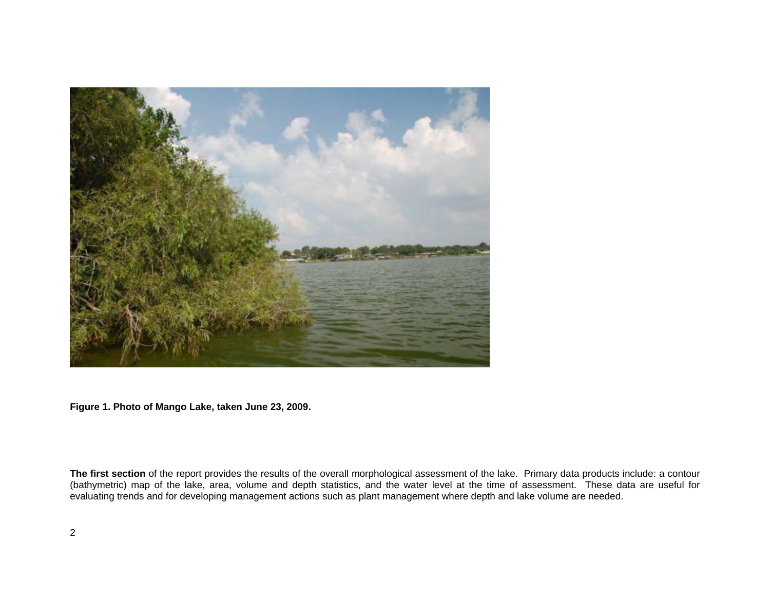

**Figure 1. Photo of Mango Lake, taken June 23, 2009.** 

**The first section** of the report provides the results of the overall morphological assessment of the lake. Primary data products include: a contour (bathymetric) map of the lake, area, volume and depth statistics, and the water level at the time of assessment. These data are useful for evaluating trends and for developing management actions such as plant management where depth and lake volume are needed.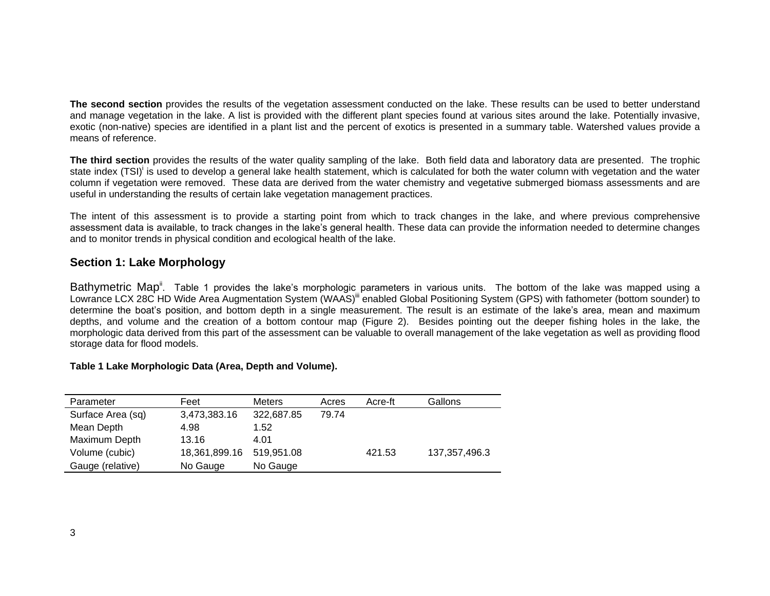**The second section** provides the results of the vegetation assessment conducted on the lake. These results can be used to better understand and manage vegetation in the lake. A list is provided with the different plant species found at various sites around the lake. Potentially invasive, exotic (non-native) species are identified in a plant list and the percent of exotics is presented in a summary table. Watershed values provide a means of reference.

**The third section** provides the results of the water quality sampling of the lake. Both field data and laboratory data are presented. The trophic state index (TSI)<sup>i</sup> is used to develop a general lake health statement, which is calculated for both the water column with vegetation and the water column if vegetation were removed. These data are derived from the water chemistry and vegetative submerged biomass assessments and are useful in understanding the results of certain lake vegetation management practices.

The intent of this assessment is to provide a starting point from which to track changes in the lake, and where previous comprehensive assessment data is available, to track changes in the lake's general health. These data can provide the information needed to determine changes and to monitor trends in physical condition and ecological health of the lake.

## **Section 1: Lake Morphology**

Bathymetric Map<sup>ii</sup>. Table 1 provides the lake's morphologic parameters in various units. The bottom of the lake was mapped using a Lowrance LCX 28C HD Wide Area Augmentation System (WAAS)<sup>iii</sup> enabled Global Positioning System (GPS) with fathometer (bottom sounder) to determine the boat's position, and bottom depth in a single measurement. The result is an estimate of the lake's area, mean and maximum depths, and volume and the creation of a bottom contour map (Figure 2). Besides pointing out the deeper fishing holes in the lake, the morphologic data derived from this part of the assessment can be valuable to overall management of the lake vegetation as well as providing flood storage data for flood models.

#### **Table 1 Lake Morphologic Data (Area, Depth and Volume).**

| Parameter         | Feet          | <b>Meters</b> | Acres | Acre-ft | Gallons         |
|-------------------|---------------|---------------|-------|---------|-----------------|
| Surface Area (sq) | 3,473,383.16  | 322,687.85    | 79.74 |         |                 |
| Mean Depth        | 4.98          | 1.52          |       |         |                 |
| Maximum Depth     | 13.16         | 4.01          |       |         |                 |
| Volume (cubic)    | 18,361,899.16 | 519,951.08    |       | 421.53  | 137, 357, 496.3 |
| Gauge (relative)  | No Gauge      | No Gauge      |       |         |                 |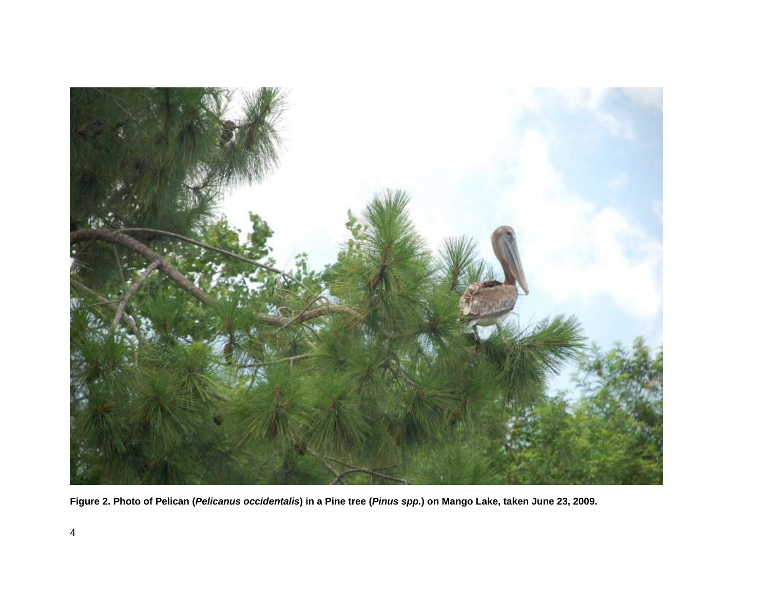

**Figure 2. Photo of Pelican (***Pelicanus occidentalis***) in a Pine tree (***Pinus spp.***) on Mango Lake, taken June 23, 2009.**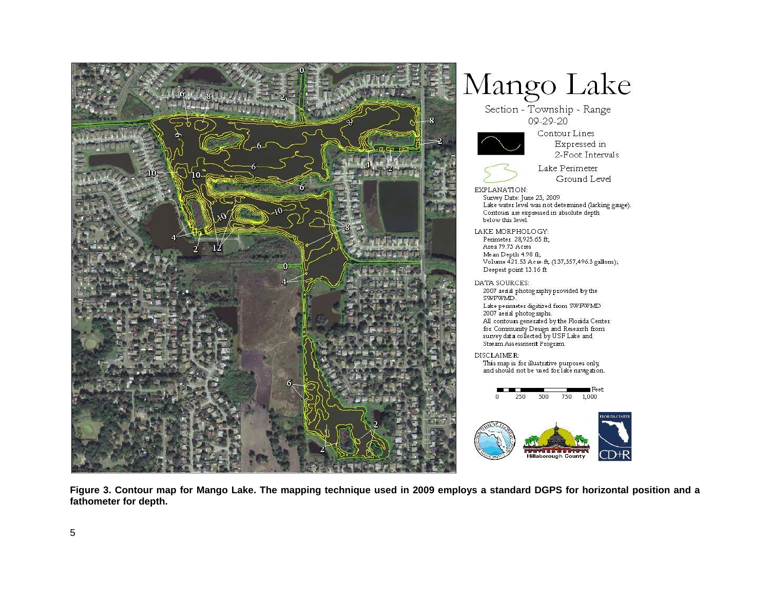

Expressed in 2-Foot Intervals Lake Perimeter Ground Level Lake water level was not determined (lacking gauge). Contours are expressed in absolute depth Volume 421.53 Acre-ft, (137,357,496.3 gallons); Lake perimeter digitized from SWFWMD All contours generated by the Florida Center for Community Design and Research from<br>survey data collected by USF Lake and This map is for illustrative purposes only, and should not be used for lake navigation.  $Feet$  $750 - 1,000$ 

**Figure 3. Contour map for Mango Lake. The mapping technique used in 2009 employs a standard DGPS for horizontal position and a fathometer for depth.**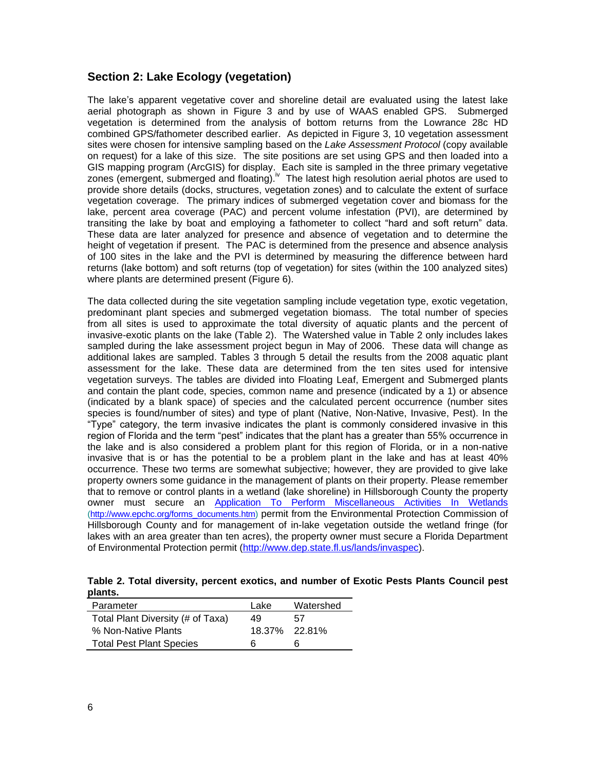# **Section 2: Lake Ecology (vegetation)**

The lake's apparent vegetative cover and shoreline detail are evaluated using the latest lake aerial photograph as shown in Figure 3 and by use of WAAS enabled GPS. Submerged vegetation is determined from the analysis of bottom returns from the Lowrance 28c HD combined GPS/fathometer described earlier. As depicted in Figure 3, 10 vegetation assessment sites were chosen for intensive sampling based on the *Lake Assessment Protocol* (copy available on request) for a lake of this size. The site positions are set using GPS and then loaded into a GIS mapping program (ArcGIS) for display. Each site is sampled in the three primary vegetative zones (emergent, submerged and floating). <sup>Iv</sup> The latest high resolution aerial photos are used to provide shore details (docks, structures, vegetation zones) and to calculate the extent of surface vegetation coverage. The primary indices of submerged vegetation cover and biomass for the lake, percent area coverage (PAC) and percent volume infestation (PVI), are determined by transiting the lake by boat and employing a fathometer to collect "hard and soft return" data. These data are later analyzed for presence and absence of vegetation and to determine the height of vegetation if present. The PAC is determined from the presence and absence analysis of 100 sites in the lake and the PVI is determined by measuring the difference between hard returns (lake bottom) and soft returns (top of vegetation) for sites (within the 100 analyzed sites) where plants are determined present (Figure 6).

The data collected during the site vegetation sampling include vegetation type, exotic vegetation, predominant plant species and submerged vegetation biomass. The total number of species from all sites is used to approximate the total diversity of aquatic plants and the percent of invasive-exotic plants on the lake (Table 2). The Watershed value in Table 2 only includes lakes sampled during the lake assessment project begun in May of 2006. These data will change as additional lakes are sampled. Tables 3 through 5 detail the results from the 2008 aquatic plant assessment for the lake. These data are determined from the ten sites used for intensive vegetation surveys. The tables are divided into Floating Leaf, Emergent and Submerged plants and contain the plant code, species, common name and presence (indicated by a 1) or absence (indicated by a blank space) of species and the calculated percent occurrence (number sites species is found/number of sites) and type of plant (Native, Non-Native, Invasive, Pest). In the "Type" category, the term invasive indicates the plant is commonly considered invasive in this region of Florida and the term "pest" indicates that the plant has a greater than 55% occurrence in the lake and is also considered a problem plant for this region of Florida, or in a non-native invasive that is or has the potential to be a problem plant in the lake and has at least 40% occurrence. These two terms are somewhat subjective; however, they are provided to give lake property owners some guidance in the management of plants on their property. Please remember that to remove or control plants in a wetland (lake shoreline) in Hillsborough County the property owner must secure an [Application To Perform Miscellaneous Activities In Wetlands](http://www.epchc.org/PDF%20Wetlands%20Forms/MAIW%20application%20for%20all%20types%20of%20impacts%20VIP%20-%20July%202006.pdf) [\(http://www.epchc.org/forms\\_documents.htm\)](http://www.epchc.org/forms_documents.htm) permit from the Environmental Protection Commission of Hillsborough County and for management of in-lake vegetation outside the wetland fringe (for lakes with an area greater than ten acres), the property owner must secure a Florida Department of Environmental Protection permit [\(http://www.dep.state.fl.us/lands/invaspec\)](http://www.dep.state.fl.us/lands/invaspec/).

**Table 2. Total diversity, percent exotics, and number of Exotic Pests Plants Council pest plants.** 

| Parameter                         | Lake | Watershed     |
|-----------------------------------|------|---------------|
| Total Plant Diversity (# of Taxa) | 49   | 57            |
| % Non-Native Plants               |      | 18.37% 22.81% |
| <b>Total Pest Plant Species</b>   | Б    | h             |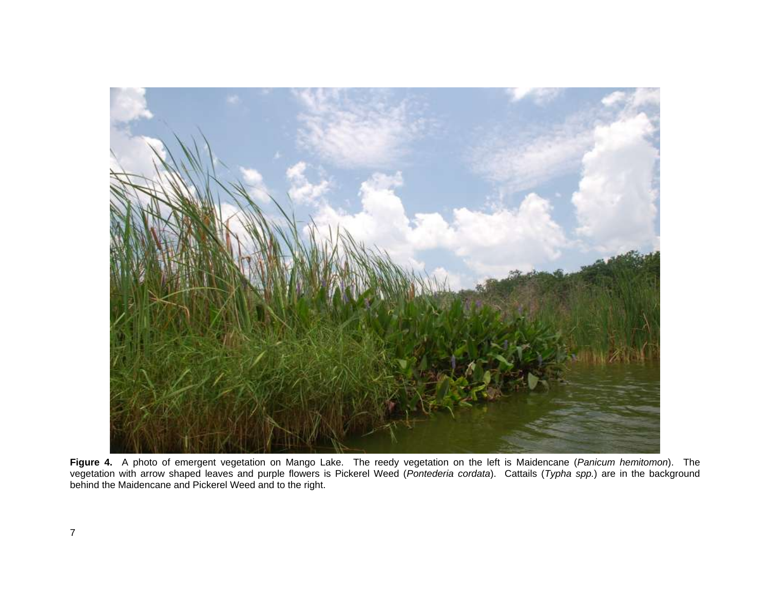

**Figure 4.** A photo of emergent vegetation on Mango Lake. The reedy vegetation on the left is Maidencane (*Panicum hemitomon*). The vegetation with arrow shaped leaves and purple flowers is Pickerel Weed (*Pontederia cordata*). Cattails (*Typha spp.*) are in the background behind the Maidencane and Pickerel Weed and to the right.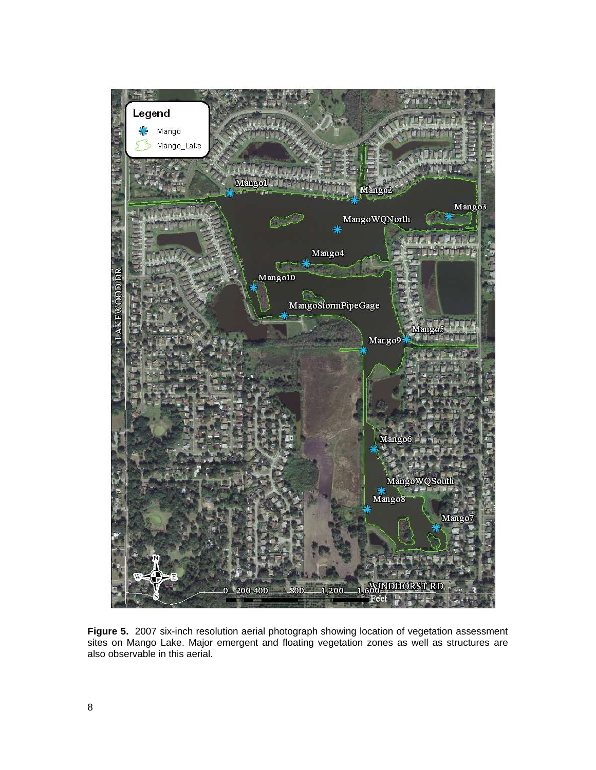

**Figure 5.** 2007 six-inch resolution aerial photograph showing location of vegetation assessment sites on Mango Lake. Major emergent and floating vegetation zones as well as structures are also observable in this aerial.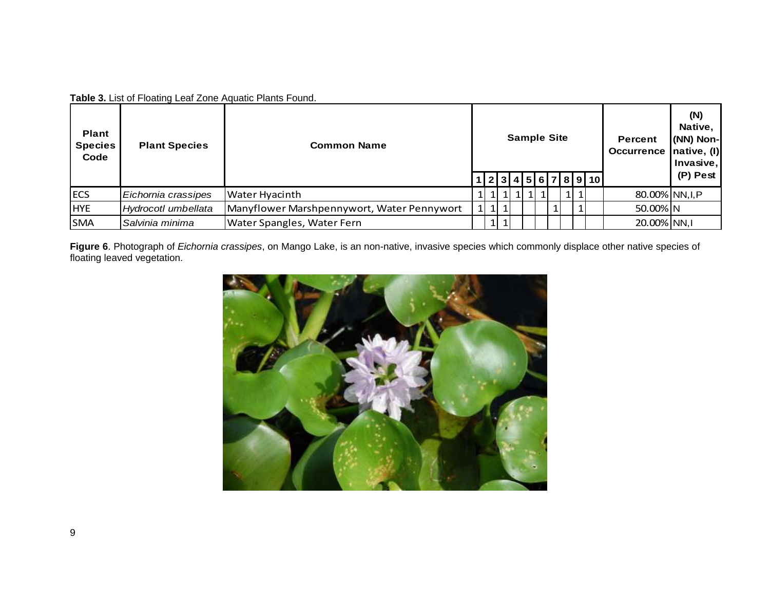**Table 3.** List of Floating Leaf Zone Aquatic Plants Found.

| <b>Plant</b><br><b>Species</b><br>Code | <b>Plant Species</b> | <b>Common Name</b>                         |  |  | <b>Sample Site</b> |  |  |  |              |      |                    | <b>Percent</b><br>Occurrence native, (I) | (N)<br>Native,<br>(NN) Non-<br>Invasive, |
|----------------------------------------|----------------------|--------------------------------------------|--|--|--------------------|--|--|--|--------------|------|--------------------|------------------------------------------|------------------------------------------|
|                                        |                      |                                            |  |  |                    |  |  |  |              |      | 2 3 4 5 6 7 8 9 10 |                                          | (P) Pest                                 |
| <b>ECS</b>                             | Eichornia crassipes  | <b>Water Hyacinth</b>                      |  |  |                    |  |  |  |              | 11 1 |                    | 80.00% NN, I, P                          |                                          |
| <b>HYE</b>                             | Hydrocotl umbellata  | Manyflower Marshpennywort, Water Pennywort |  |  | 1 1 1              |  |  |  | $\mathbf{1}$ |      |                    | 50.00% N                                 |                                          |
| <b>SMA</b>                             | Salvinia minima      | Water Spangles, Water Fern                 |  |  | 1   1              |  |  |  |              |      |                    | 20.00% NN,I                              |                                          |

**Figure 6**. Photograph of *Eichornia crassipes*, on Mango Lake, is an non-native, invasive species which commonly displace other native species of floating leaved vegetation.

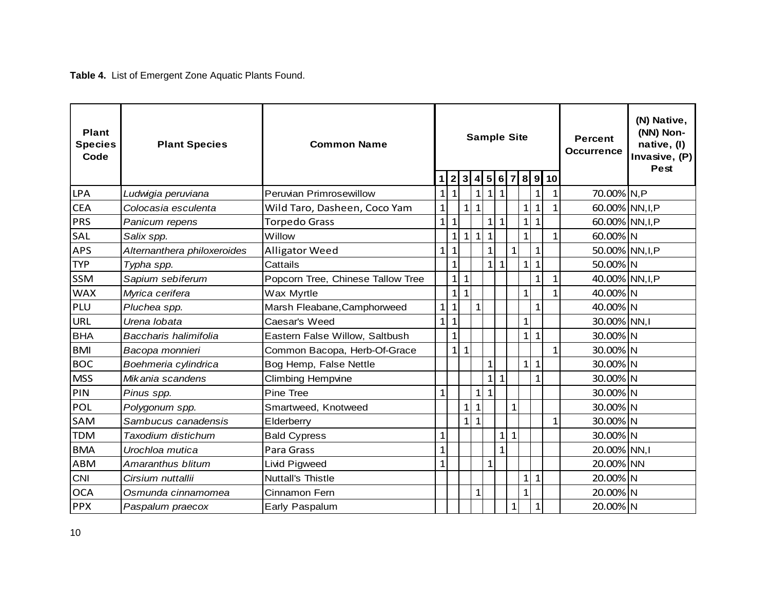**Table 4.** List of Emergent Zone Aquatic Plants Found.

| <b>Plant</b><br><b>Species</b><br>Code | <b>Plant Species</b>        | <b>Common Name</b>                | <b>Sample Site</b><br>4 5 6 7<br>3 <sup>l</sup><br>8 <sup>l</sup><br>$\overline{9}$<br>$\overline{2}$<br>10<br>1 |                |              |                 |              |              |                |              |              | <b>Percent</b><br><b>Occurrence</b> | (N) Native,<br>(NN) Non-<br>native, (I)<br>Invasive, $(P)$<br>Pest |  |
|----------------------------------------|-----------------------------|-----------------------------------|------------------------------------------------------------------------------------------------------------------|----------------|--------------|-----------------|--------------|--------------|----------------|--------------|--------------|-------------------------------------|--------------------------------------------------------------------|--|
| <b>LPA</b>                             | Ludwigia peruviana          | Peruvian Primrosewillow           | $\mathbf{1}$                                                                                                     | $\mathbf{1}$   |              | 1               | 1            | $\mathbf{1}$ |                |              | 1            |                                     | 70.00% N,P                                                         |  |
| <b>CEA</b>                             | Colocasia esculenta         | Wild Taro, Dasheen, Coco Yam      | $\mathbf{1}$                                                                                                     |                | $\mathbf{1}$ | $\mathbf{1}$    |              |              |                | $\mathbf{1}$ | 1            | 1                                   | 60.00% NN, I, P                                                    |  |
| <b>PRS</b>                             | Panicum repens              | <b>Torpedo Grass</b>              | 1 <sup>1</sup>                                                                                                   | $\mathbf{1}$   |              |                 | $1\vert$     | $\mathbf{1}$ |                | $\mathbf{1}$ | $\mathbf{1}$ |                                     | 60.00% NN, I, P                                                    |  |
| SAL                                    | Salix spp.                  | Willow                            |                                                                                                                  | 1 <sup>1</sup> | $\mathbf{1}$ | $1\overline{ }$ | $\mathbf{1}$ |              |                | $\mathbf{1}$ |              | 1                                   | 60.00% N                                                           |  |
| <b>APS</b>                             | Alternanthera philoxeroides | <b>Alligator Weed</b>             | $\mathbf{1}$                                                                                                     | $\mathbf{1}$   |              |                 | $\mathbf{1}$ |              | $\overline{1}$ |              | $\mathbf{1}$ |                                     | 50.00% NN, I, P                                                    |  |
| <b>TYP</b>                             | Typha spp.                  | Cattails                          |                                                                                                                  | $\mathbf{1}$   |              |                 | 1            | $\mathbf{1}$ |                | $\mathbf{1}$ | $\mathbf{1}$ |                                     | 50.00% N                                                           |  |
| <b>SSM</b>                             | Sapium sebiferum            | Popcorn Tree, Chinese Tallow Tree |                                                                                                                  | $\mathbf{1}$   | $\mathbf{1}$ |                 |              |              |                |              | 1            | 1                                   | 40.00% NN, I, P                                                    |  |
| <b>WAX</b>                             | Myrica cerifera             | Wax Myrtle                        |                                                                                                                  | $\mathbf{1}$   | $\mathbf{1}$ |                 |              |              |                | $\mathbf{1}$ |              | 1                                   | 40.00% N                                                           |  |
| PLU                                    | Pluchea spp.                | Marsh Fleabane, Camphorweed       | $\mathbf{1}$                                                                                                     | $\mathbf{1}$   |              | $1\vert$        |              |              |                |              | $\mathbf{1}$ |                                     | 40.00% N                                                           |  |
| <b>URL</b>                             | Urena lobata                | Caesar's Weed                     | $1\overline{ }$                                                                                                  | $\mathbf{1}$   |              |                 |              |              |                | $\mathbf{1}$ |              |                                     | 30.00% NN,I                                                        |  |
| <b>BHA</b>                             | Baccharis halimifolia       | Eastern False Willow, Saltbush    |                                                                                                                  | $\mathbf{1}$   |              |                 |              |              |                | $\mathbf{1}$ | $\mathbf{1}$ |                                     | 30.00% N                                                           |  |
| <b>BMI</b>                             | Bacopa monnieri             | Common Bacopa, Herb-Of-Grace      |                                                                                                                  | $\mathbf{1}$   | $\mathbf{1}$ |                 |              |              |                |              |              | 1                                   | 30.00% N                                                           |  |
| <b>BOC</b>                             | Boehmeria cylindrica        | Bog Hemp, False Nettle            |                                                                                                                  |                |              |                 | $\mathbf{1}$ |              |                | $\mathbf{1}$ | $\mathbf{1}$ |                                     | 30.00% N                                                           |  |
| <b>MSS</b>                             | Mikania scandens            | <b>Climbing Hempvine</b>          |                                                                                                                  |                |              |                 | $1\vert$     | $\mathbf{1}$ |                |              | $\mathbf{1}$ |                                     | 30.00% N                                                           |  |
| PIN                                    | Pinus spp.                  | Pine Tree                         | 1                                                                                                                |                |              | $1\vert$        | $\mathbf{1}$ |              |                |              |              |                                     | 30.00% N                                                           |  |
| POL                                    | Polygonum spp.              | Smartweed, Knotweed               |                                                                                                                  |                | $1\vert$     | $\mathbf{1}$    |              |              | 1              |              |              |                                     | 30.00% N                                                           |  |
| SAM                                    | Sambucus canadensis         | Elderberry                        |                                                                                                                  |                | $1\vert$     | $\mathbf{1}$    |              |              |                |              |              | 1                                   | 30.00% N                                                           |  |
| <b>TDM</b>                             | Taxodium distichum          | <b>Bald Cypress</b>               | 1                                                                                                                |                |              |                 |              | $\mathbf{1}$ | $\mathbf{1}$   |              |              |                                     | 30.00% N                                                           |  |
| <b>BMA</b>                             | Urochloa mutica             | Para Grass                        | $\mathbf{1}$                                                                                                     |                |              |                 |              | 1            |                |              |              |                                     | 20.00% NN,I                                                        |  |
| <b>ABM</b>                             | Amaranthus blitum           | Livid Pigweed                     | $\mathbf{1}$                                                                                                     |                |              |                 | $1\vert$     |              |                |              |              |                                     | 20.00% NN                                                          |  |
| <b>CNI</b>                             | Cirsium nuttallii           | <b>Nuttall's Thistle</b>          |                                                                                                                  |                |              |                 |              |              |                | $\mathbf{1}$ | $\mathbf{1}$ |                                     | 20.00% N                                                           |  |
| <b>OCA</b>                             | Osmunda cinnamomea          | Cinnamon Fern                     |                                                                                                                  |                |              | $\mathbf{1}$    |              |              |                | $\mathbf{1}$ |              |                                     | 20.00% N                                                           |  |
| <b>PPX</b>                             | Paspalum praecox            | Early Paspalum                    |                                                                                                                  |                |              |                 |              |              | 1              |              | $\mathbf{1}$ |                                     | 20.00% N                                                           |  |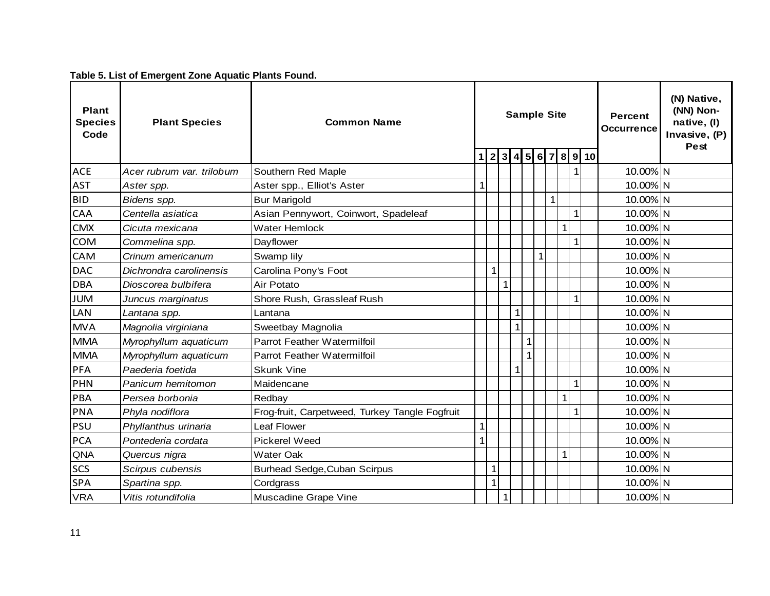# **Table 5. List of Emergent Zone Aquatic Plants Found.**

| <b>Plant</b><br><b>Species</b><br>Code | <b>Plant Species</b>      | <b>Common Name</b>                             |              | <b>Sample Site</b><br>2 3 4 5 6 7<br>8 9 10<br>$\mathbf 1$ |              |              |   |              | <b>Percent</b><br><b>Occurrence</b> | (N) Native,<br>(NN) Non-<br>native, (I)<br>Invasive, (P)<br><b>Pest</b> |              |          |  |
|----------------------------------------|---------------------------|------------------------------------------------|--------------|------------------------------------------------------------|--------------|--------------|---|--------------|-------------------------------------|-------------------------------------------------------------------------|--------------|----------|--|
| <b>ACE</b>                             | Acer rubrum var. trilobum | Southern Red Maple                             |              |                                                            |              |              |   |              |                                     |                                                                         | $\mathbf{1}$ | 10.00% N |  |
| <b>AST</b>                             | Aster spp.                | Aster spp., Elliot's Aster                     | $\mathbf{1}$ |                                                            |              |              |   |              |                                     |                                                                         |              | 10.00% N |  |
| <b>BID</b>                             | Bidens spp.               | <b>Bur Marigold</b>                            |              |                                                            |              |              |   |              | $\mathbf{1}$                        |                                                                         |              | 10.00% N |  |
| CAA                                    | Centella asiatica         | Asian Pennywort, Coinwort, Spadeleaf           |              |                                                            |              |              |   |              |                                     |                                                                         | $\mathbf{1}$ | 10.00% N |  |
| <b>CMX</b>                             | Cicuta mexicana           | <b>Water Hemlock</b>                           |              |                                                            |              |              |   |              |                                     | $1\overline{ }$                                                         |              | 10.00% N |  |
| <b>COM</b>                             | Commelina spp.            | Dayflower                                      |              |                                                            |              |              |   |              |                                     |                                                                         | $\mathbf{1}$ | 10.00% N |  |
| CAM                                    | Crinum americanum         | Swamp lily                                     |              |                                                            |              |              |   | $\mathbf{1}$ |                                     |                                                                         |              | 10.00% N |  |
| <b>DAC</b>                             | Dichrondra carolinensis   | Carolina Pony's Foot                           |              |                                                            |              |              |   |              |                                     |                                                                         |              | 10.00% N |  |
| <b>DBA</b>                             | Dioscorea bulbifera       | Air Potato                                     |              |                                                            |              | $\mathbf{1}$ |   |              |                                     |                                                                         |              | 10.00% N |  |
| <b>JUM</b>                             | Juncus marginatus         | Shore Rush, Grassleaf Rush                     |              |                                                            |              |              |   |              |                                     |                                                                         | $\mathbf{1}$ | 10.00% N |  |
| <b>LAN</b>                             | Lantana spp.              | Lantana                                        |              |                                                            |              | $\mathbf{1}$ |   |              |                                     |                                                                         |              | 10.00% N |  |
| <b>MVA</b>                             | Magnolia virginiana       | Sweetbay Magnolia                              |              |                                                            |              | $\mathbf{1}$ |   |              |                                     |                                                                         |              | 10.00% N |  |
| <b>MMA</b>                             | Myrophyllum aquaticum     | Parrot Feather Watermilfoil                    |              |                                                            |              |              |   |              |                                     |                                                                         |              | 10.00% N |  |
| <b>MMA</b>                             | Myrophyllum aquaticum     | Parrot Feather Watermilfoil                    |              |                                                            |              |              | 1 |              |                                     |                                                                         |              | 10.00% N |  |
| PFA                                    | Paederia foetida          | <b>Skunk Vine</b>                              |              |                                                            |              | $\mathbf{1}$ |   |              |                                     |                                                                         |              | 10.00% N |  |
| PHN                                    | Panicum hemitomon         | Maidencane                                     |              |                                                            |              |              |   |              |                                     |                                                                         | $\mathbf{1}$ | 10.00% N |  |
| PBA                                    | Persea borbonia           | Redbay                                         |              |                                                            |              |              |   |              |                                     | $\mathbf{1}$                                                            |              | 10.00% N |  |
| <b>PNA</b>                             | Phyla nodiflora           | Frog-fruit, Carpetweed, Turkey Tangle Fogfruit |              |                                                            |              |              |   |              |                                     |                                                                         | $\mathbf{1}$ | 10.00% N |  |
| PSU                                    | Phyllanthus urinaria      | Leaf Flower                                    | $\mathbf{1}$ |                                                            |              |              |   |              |                                     |                                                                         |              | 10.00% N |  |
| <b>PCA</b>                             | Pontederia cordata        | Pickerel Weed                                  |              | $\mathbf{1}$                                               |              |              |   |              |                                     |                                                                         |              | 10.00% N |  |
| QNA                                    | Quercus nigra             | <b>Water Oak</b>                               |              |                                                            |              |              |   |              |                                     | $\mathbf{1}$                                                            |              | 10.00% N |  |
| <b>SCS</b>                             | Scirpus cubensis          | <b>Burhead Sedge, Cuban Scirpus</b>            |              | $\mathbf{1}$                                               |              |              |   |              |                                     |                                                                         |              | 10.00% N |  |
| <b>SPA</b>                             | Spartina spp.             | Cordgrass                                      |              | 1                                                          |              |              |   |              |                                     |                                                                         |              | 10.00% N |  |
| <b>VRA</b>                             | Vitis rotundifolia        | Muscadine Grape Vine                           |              |                                                            | $\mathbf{1}$ |              |   |              |                                     |                                                                         |              | 10.00% N |  |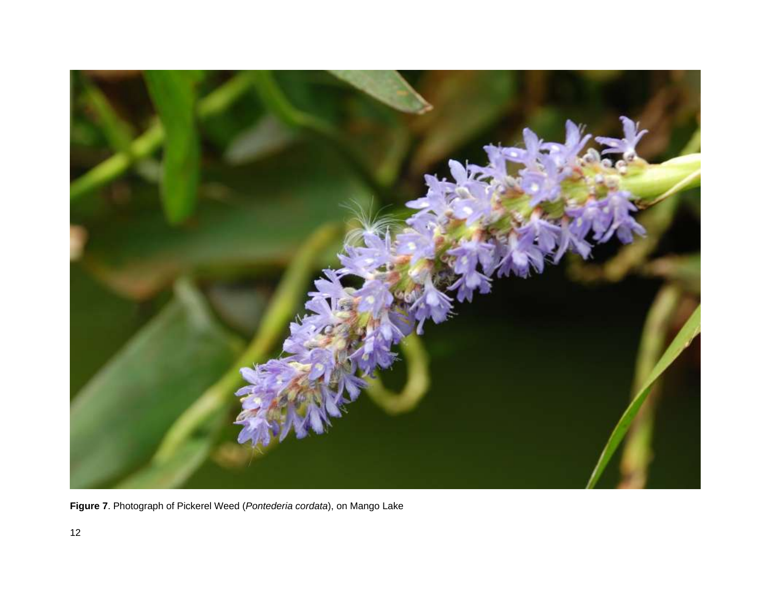

**Figure 7**. Photograph of Pickerel Weed (*Pontederia cordata*), on Mango Lake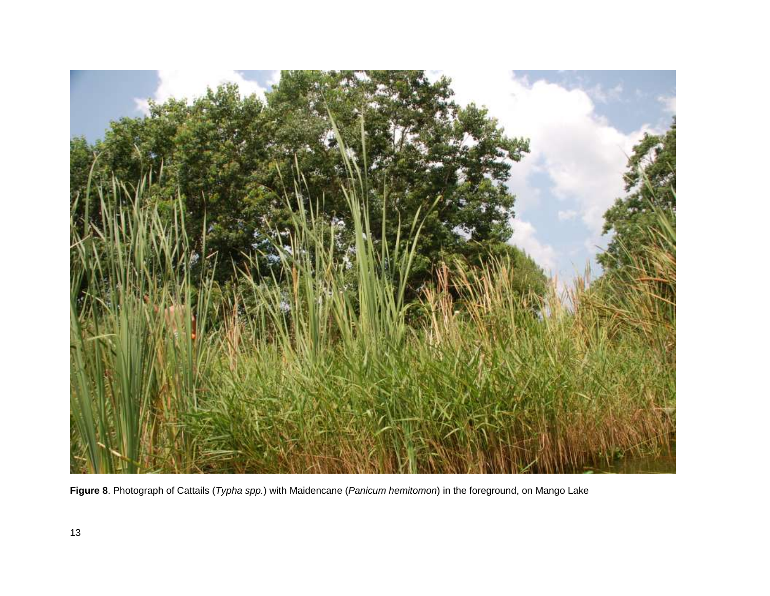

**Figure 8**. Photograph of Cattails (*Typha spp.*) with Maidencane (*Panicum hemitomon*) in the foreground, on Mango Lake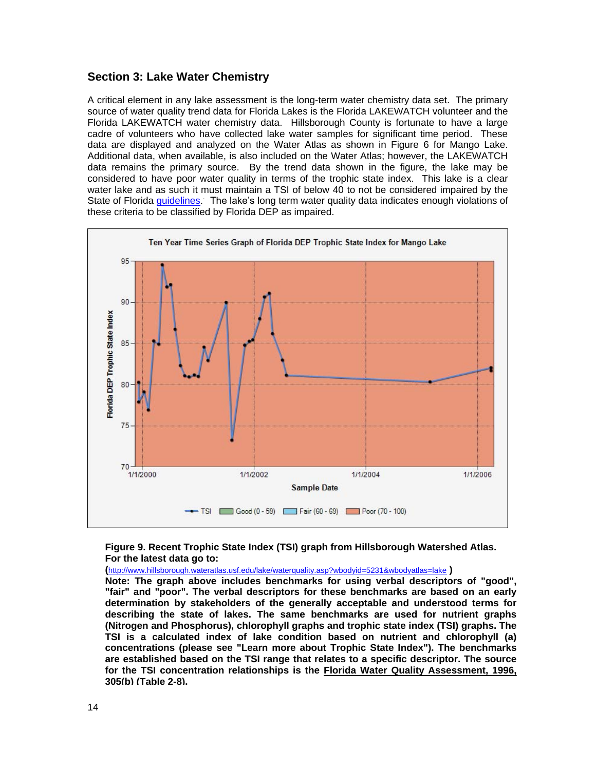## **Section 3: Lake Water Chemistry**

A critical element in any lake assessment is the long-term water chemistry data set. The primary source of water quality trend data for Florida Lakes is the Florida LAKEWATCH volunteer and the Florida LAKEWATCH water chemistry data. Hillsborough County is fortunate to have a large cadre of volunteers who have collected lake water samples for significant time period. These data are displayed and analyzed on the Water Atlas as shown in Figure 6 for Mango Lake. Additional data, when available, is also included on the Water Atlas; however, the LAKEWATCH data remains the primary source. By the trend data shown in the figure, the lake may be considered to have poor water quality in terms of the trophic state index. This lake is a clear water lake and as such it must maintain a TSI of below 40 to not be considered impaired by the State of Florida *guidelines*. The lake's long term water quality data indicates enough violations of these criteria to be classified by Florida DEP as impaired.



#### **Figure 9. Recent Trophic State Index (TSI) graph from Hillsborough Watershed Atlas. For the latest data go to:**

**(**<http://www.hillsborough.wateratlas.usf.edu/lake/waterquality.asp?wbodyid=5231&wbodyatlas=lake> **)** 

**Note: The graph above includes benchmarks for using verbal descriptors of "good", "fair" and "poor". The verbal descriptors for these benchmarks are based on an early determination by stakeholders of the generally acceptable and understood terms for describing the state of lakes. The same benchmarks are used for nutrient graphs (Nitrogen and Phosphorus), chlorophyll graphs and trophic state index (TSI) graphs. The TSI is a calculated index of lake condition based on nutrient and chlorophyll (a) concentrations (please see "Learn more about Trophic State Index"). The benchmarks are established based on the TSI range that relates to a specific descriptor. The source for the TSI concentration relationships is the Florida Water Quality Assessment, 1996, 305(b) (Table 2-8).**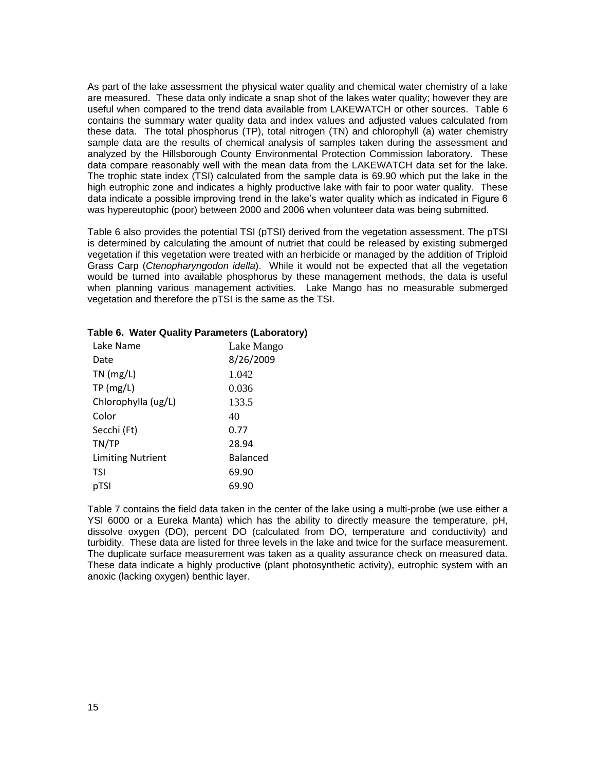As part of the lake assessment the physical water quality and chemical water chemistry of a lake are measured. These data only indicate a snap shot of the lakes water quality; however they are useful when compared to the trend data available from LAKEWATCH or other sources. Table 6 contains the summary water quality data and index values and adjusted values calculated from these data. The total phosphorus (TP), total nitrogen (TN) and chlorophyll (a) water chemistry sample data are the results of chemical analysis of samples taken during the assessment and analyzed by the Hillsborough County Environmental Protection Commission laboratory. These data compare reasonably well with the mean data from the LAKEWATCH data set for the lake. The trophic state index (TSI) calculated from the sample data is 69.90 which put the lake in the high eutrophic zone and indicates a highly productive lake with fair to poor water quality. These data indicate a possible improving trend in the lake's water quality which as indicated in Figure 6 was hypereutophic (poor) between 2000 and 2006 when volunteer data was being submitted.

Table 6 also provides the potential TSI (pTSI) derived from the vegetation assessment. The pTSI is determined by calculating the amount of nutriet that could be released by existing submerged vegetation if this vegetation were treated with an herbicide or managed by the addition of Triploid Grass Carp (*Ctenopharyngodon idella*). While it would not be expected that all the vegetation would be turned into available phosphorus by these management methods, the data is useful when planning various management activities. Lake Mango has no measurable submerged vegetation and therefore the pTSI is the same as the TSI.

| Lake Name                | Lake Mango |
|--------------------------|------------|
| Date                     | 8/26/2009  |
| $TN$ (mg/L)              | 1.042      |
| TP(mg/L)                 | 0.036      |
| Chlorophylla (ug/L)      | 133.5      |
| Color                    | 40         |
| Secchi (Ft)              | 0.77       |
| TN/TP                    | 28.94      |
| <b>Limiting Nutrient</b> | Balanced   |
| TSI                      | 69.90      |
| pTSI                     | 69.90      |

#### **Table 6. Water Quality Parameters (Laboratory)**

Table 7 contains the field data taken in the center of the lake using a multi-probe (we use either a YSI 6000 or a Eureka Manta) which has the ability to directly measure the temperature, pH, dissolve oxygen (DO), percent DO (calculated from DO, temperature and conductivity) and turbidity. These data are listed for three levels in the lake and twice for the surface measurement. The duplicate surface measurement was taken as a quality assurance check on measured data. These data indicate a highly productive (plant photosynthetic activity), eutrophic system with an anoxic (lacking oxygen) benthic layer.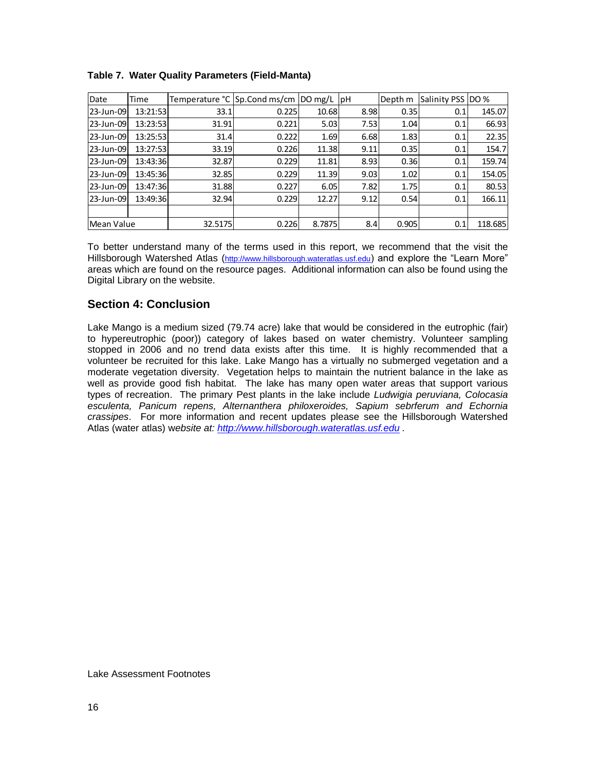| Date       | Time     |         | Temperature °C Sp.Cond ms/cm  DO mg/L  pH |        |      | Depth m | Salinity PSS DO % |         |
|------------|----------|---------|-------------------------------------------|--------|------|---------|-------------------|---------|
| 23-Jun-09  | 13:21:53 | 33.1    | 0.225                                     | 10.68  | 8.98 | 0.35    | 0.1               | 145.07  |
| 23-Jun-09  | 13:23:53 | 31.91   | 0.221                                     | 5.03   | 7.53 | 1.04    | 0.1               | 66.93   |
| 23-Jun-09  | 13:25:53 | 31.4    | 0.222                                     | 1.69   | 6.68 | 1.83    | 0.1               | 22.35   |
| 23-Jun-09  | 13:27:53 | 33.19   | 0.226                                     | 11.38  | 9.11 | 0.35    | 0.1               | 154.7   |
| 23-Jun-09  | 13:43:36 | 32.87   | 0.229                                     | 11.81  | 8.93 | 0.36    | 0.1               | 159.74  |
| 23-Jun-09  | 13:45:36 | 32.85   | 0.229                                     | 11.39  | 9.03 | 1.02    | 0.1               | 154.05  |
| 23-Jun-09  | 13:47:36 | 31.88   | 0.227                                     | 6.05   | 7.82 | 1.75    | 0.1               | 80.53   |
| 23-Jun-09  | 13:49:36 | 32.94   | 0.229                                     | 12.27  | 9.12 | 0.54    | 0.1               | 166.11  |
|            |          |         |                                           |        |      |         |                   |         |
| Mean Value |          | 32.5175 | 0.226                                     | 8.7875 | 8.4  | 0.905   | 0.1               | 118.685 |

### **Table 7. Water Quality Parameters (Field-Manta)**

To better understand many of the terms used in this report, we recommend that the visit the Hillsborough Watershed Atlas ([http://www.hillsborough.wateratlas.usf.edu](http://www.hillsborough.wateratlas.usf.edu/)) and explore the "Learn More" areas which are found on the resource pages. Additional information can also be found using the Digital Library on the website.

# **Section 4: Conclusion**

Lake Mango is a medium sized (79.74 acre) lake that would be considered in the eutrophic (fair) to hypereutrophic (poor)) category of lakes based on water chemistry. Volunteer sampling stopped in 2006 and no trend data exists after this time. It is highly recommended that a volunteer be recruited for this lake. Lake Mango has a virtually no submerged vegetation and a moderate vegetation diversity. Vegetation helps to maintain the nutrient balance in the lake as well as provide good fish habitat. The lake has many open water areas that support various types of recreation. The primary Pest plants in the lake include *Ludwigia peruviana, Colocasia esculenta, Panicum repens, Alternanthera philoxeroides, Sapium sebrferum and Echornia crassipes*. For more information and recent updates please see the Hillsborough Watershed Atlas (water atlas) w*ebsite at: [http://www.hillsborough.wateratlas.usf.edu](http://www.hillsborough.wateratlas.usf.edu/) .* 

Lake Assessment Footnotes